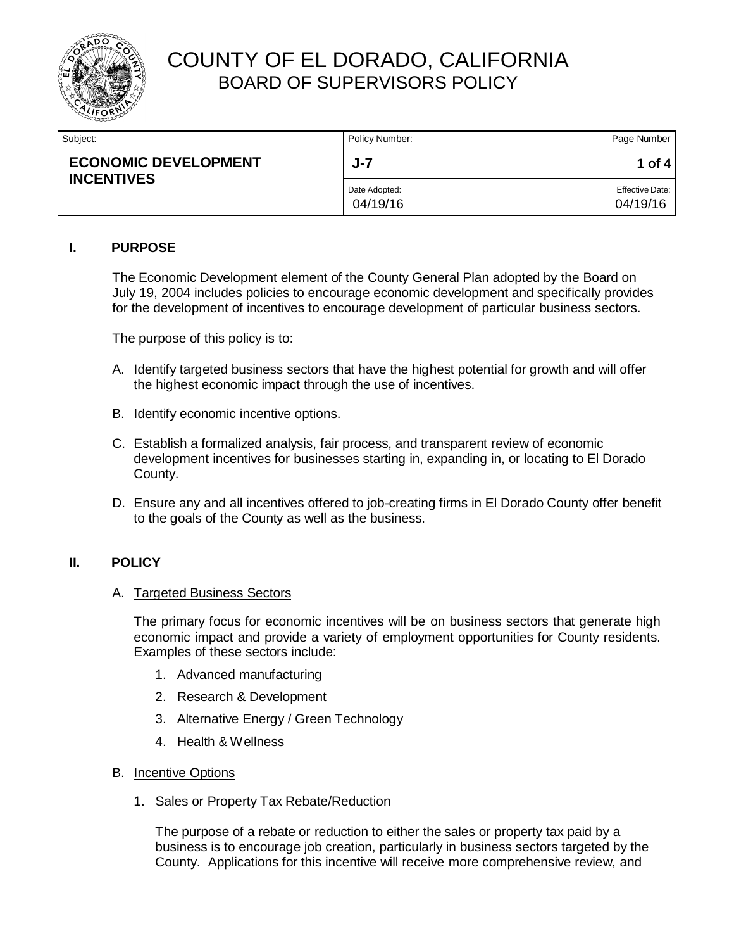

| Subject:                                         | Policy Number:            | Page Number                        |
|--------------------------------------------------|---------------------------|------------------------------------|
| <b>ECONOMIC DEVELOPMENT</b><br><b>INCENTIVES</b> | $J - 7$                   | 1 of 4                             |
|                                                  | Date Adopted:<br>04/19/16 | <b>Effective Date:</b><br>04/19/16 |

### **I. PURPOSE**

The Economic Development element of the County General Plan adopted by the Board on July 19, 2004 includes policies to encourage economic development and specifically provides for the development of incentives to encourage development of particular business sectors.

The purpose of this policy is to:

- A. Identify targeted business sectors that have the highest potential for growth and will offer the highest economic impact through the use of incentives.
- B. Identify economic incentive options.
- C. Establish a formalized analysis, fair process, and transparent review of economic development incentives for businesses starting in, expanding in, or locating to El Dorado County.
- D. Ensure any and all incentives offered to job-creating firms in El Dorado County offer benefit to the goals of the County as well as the business.

### **II. POLICY**

#### A. Targeted Business Sectors

The primary focus for economic incentives will be on business sectors that generate high economic impact and provide a variety of employment opportunities for County residents. Examples of these sectors include:

- 1. Advanced manufacturing
- 2. Research & Development
- 3. Alternative Energy / Green Technology
- 4. Health & Wellness
- B. Incentive Options
	- 1. Sales or Property Tax Rebate/Reduction

The purpose of a rebate or reduction to either the sales or property tax paid by a business is to encourage job creation, particularly in business sectors targeted by the County. Applications for this incentive will receive more comprehensive review, and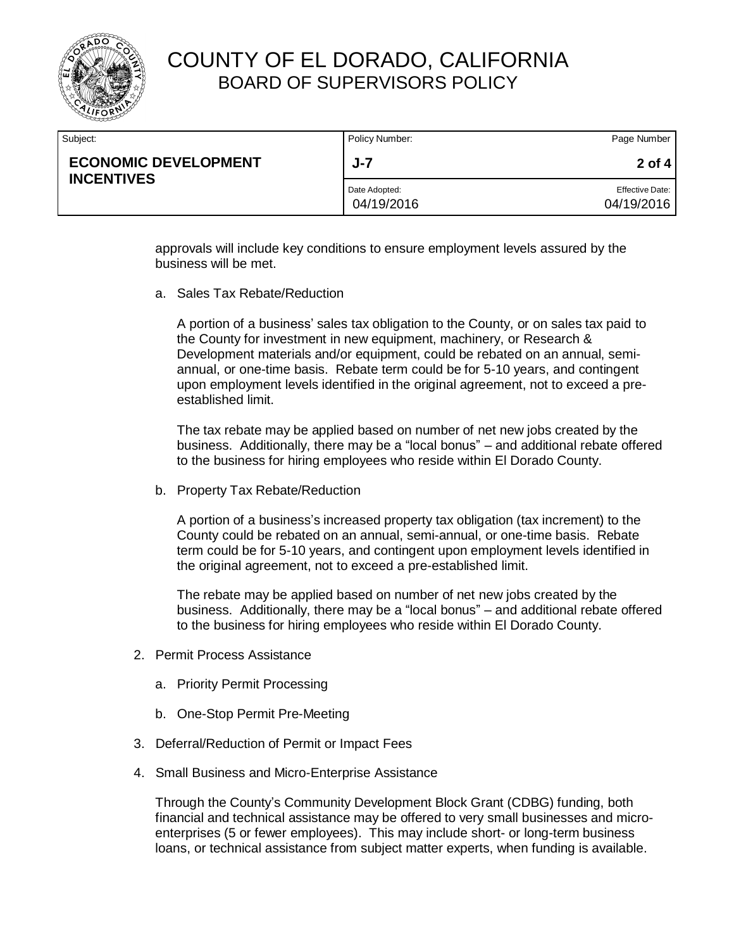

| Subject:                                         | Policy Number:              | Page Number                          |
|--------------------------------------------------|-----------------------------|--------------------------------------|
| <b>ECONOMIC DEVELOPMENT</b><br><b>INCENTIVES</b> | J-7                         | $2$ of 4                             |
|                                                  | Date Adopted:<br>04/19/2016 | <b>Effective Date:</b><br>04/19/2016 |

approvals will include key conditions to ensure employment levels assured by the business will be met.

a. Sales Tax Rebate/Reduction

A portion of a business' sales tax obligation to the County, or on sales tax paid to the County for investment in new equipment, machinery, or Research & Development materials and/or equipment, could be rebated on an annual, semiannual, or one-time basis. Rebate term could be for 5-10 years, and contingent upon employment levels identified in the original agreement, not to exceed a preestablished limit.

The tax rebate may be applied based on number of net new jobs created by the business. Additionally, there may be a "local bonus" – and additional rebate offered to the business for hiring employees who reside within El Dorado County.

b. Property Tax Rebate/Reduction

A portion of a business's increased property tax obligation (tax increment) to the County could be rebated on an annual, semi-annual, or one-time basis. Rebate term could be for 5-10 years, and contingent upon employment levels identified in the original agreement, not to exceed a pre-established limit.

The rebate may be applied based on number of net new jobs created by the business. Additionally, there may be a "local bonus" – and additional rebate offered to the business for hiring employees who reside within El Dorado County.

- 2. Permit Process Assistance
	- a. Priority Permit Processing
	- b. One-Stop Permit Pre-Meeting
- 3. Deferral/Reduction of Permit or Impact Fees
- 4. Small Business and Micro-Enterprise Assistance

Through the County's Community Development Block Grant (CDBG) funding, both financial and technical assistance may be offered to very small businesses and microenterprises (5 or fewer employees). This may include short- or long-term business loans, or technical assistance from subject matter experts, when funding is available.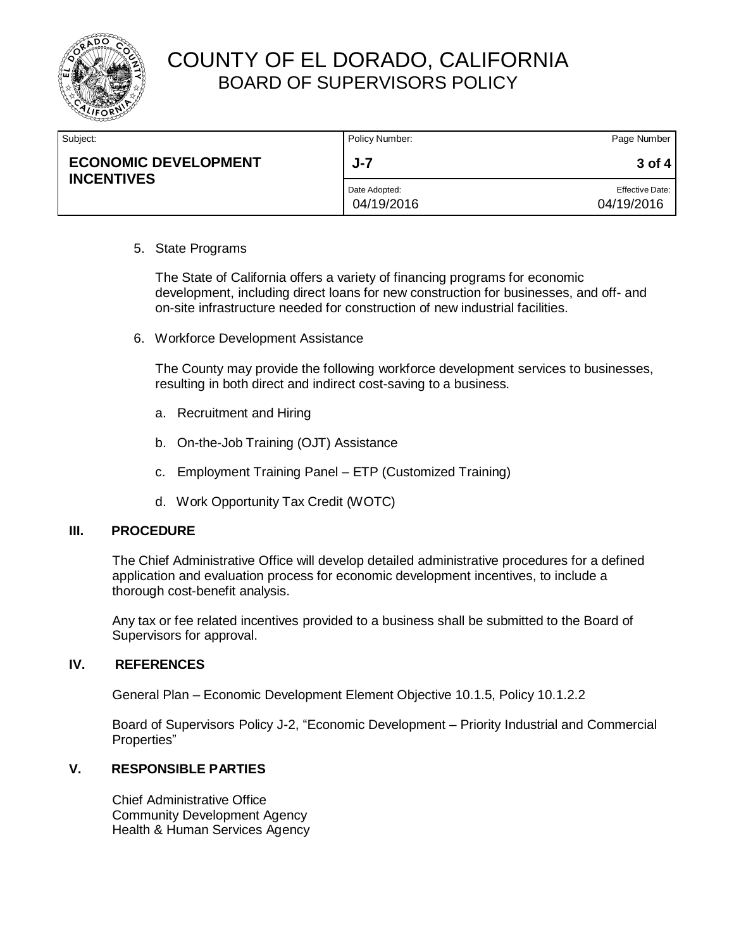

| Subject:                                         | Policy Number:              | Page Number                          |
|--------------------------------------------------|-----------------------------|--------------------------------------|
| <b>ECONOMIC DEVELOPMENT</b><br><b>INCENTIVES</b> | $J - 7$                     | $3$ of 4                             |
|                                                  | Date Adopted:<br>04/19/2016 | <b>Effective Date:</b><br>04/19/2016 |

### 5. State Programs

The State of California offers a variety of financing programs for economic development, including direct loans for new construction for businesses, and off- and on-site infrastructure needed for construction of new industrial facilities.

6. Workforce Development Assistance

The County may provide the following workforce development services to businesses, resulting in both direct and indirect cost-saving to a business.

- a. Recruitment and Hiring
- b. On-the-Job Training (OJT) Assistance
- c. Employment Training Panel ETP (Customized Training)
- d. Work Opportunity Tax Credit (WOTC)

#### **III. PROCEDURE**

The Chief Administrative Office will develop detailed administrative procedures for a defined application and evaluation process for economic development incentives, to include a thorough cost-benefit analysis.

Any tax or fee related incentives provided to a business shall be submitted to the Board of Supervisors for approval.

#### **IV. REFERENCES**

General Plan – Economic Development Element Objective 10.1.5, Policy 10.1.2.2

Board of Supervisors Policy J-2, "Economic Development – Priority Industrial and Commercial Properties"

### **V. RESPONSIBLE PARTIES**

Chief Administrative Office Community Development Agency Health & Human Services Agency